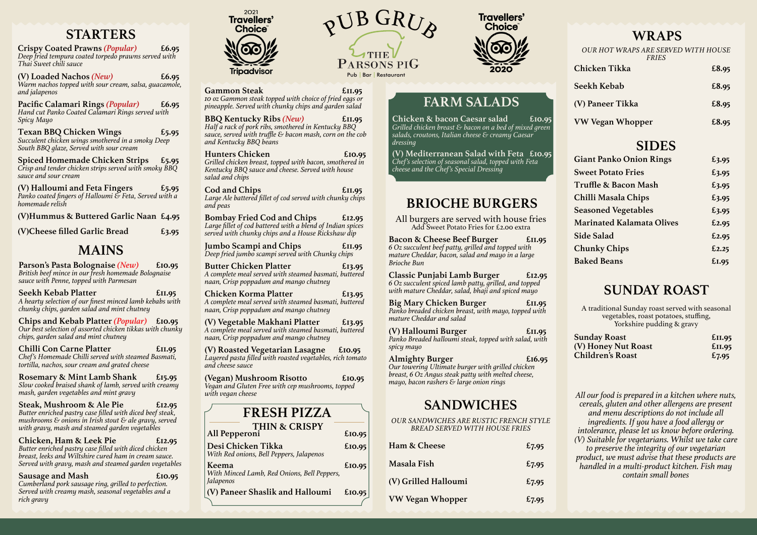*All our food is prepared in a kitchen where nuts, cereals, gluten and other allergens are present and menu descriptions do not include all ingredients. If you have a food allergy or intolerance, please let us know before ordering. (V) Suitable for vegetarians. Whilst we take care to preserve the integrity of our vegetarian product, we must advise that these products are handled in a multi-product kitchen. Fish may contain small bones*

**Crispy Coated Prawns** *(Popular)* **£6.95** *Deep fried tempura coated torpedo prawns served with Thai Sweet chili sauce*

**(V) Loaded Nachos** *(New)* **£6.95** *Warm nachos topped with sour cream, salsa, guacamole, and jalapenos*

**Pacific Calamari Rings** *(Popular)* **£6.95** *Hand cut Panko Coated Calamari Rings served with Spicy Mayo*

**Texan BBQ Chicken Wings £5.95** *Succulent chicken wings smothered in a smoky Deep South BBQ glaze, Served with sour cream*

**Spiced Homemade Chicken Strips £5.95** *Crisp and tender chicken strips served with smoky BBQ sauce and sour cream*

**(V) Halloumi and Feta Fingers £5.95** *Panko coated fingers of Halloumi & Feta, Served with a homemade relish*

**(V)Hummus & Buttered Garlic Naan £4.95**

**(V)Cheese filled Garlic Bread £3.95**

Sausage and Mash **E**<sup>10.95</sup> *Cumberland pork sausage ring, grilled to perfection. Served with creamy mash, seasonal vegetables and a rich gravy*



**Parson's Pasta Bolognaise** *(New)* **£10.95** *British beef mince in our fresh homemade Bolognaise sauce with Penne, topped with Parmesan*

Gammon Steak **EII.95** *10 oz Gammon steak topped with choice of fried eggs or pineapple. Served with chunky chips and garden salad* **BBQ Kentucky Ribs** *(New)* **£11.95** *Half a rack of pork ribs, smothered in Kentucky BBQ sauce, served with truffle & bacon mash, corn on the cob*

**Seekh Kebab Platter £11.95** *A hearty selection of our finest minced lamb kebabs with chunky chips, garden salad and mint chutney*

**Chips and Kebab Platter** *(Popular)* **£10.95** *Our best selection of assorted chicken tikkas with chunky chips, garden salad and mint chutney*

**Chilli Con Carne Platter £11.95** *Chef's Homemade Chilli served with steamed Basmati, tortilla, nachos, sour cream and grated cheese*

**Rosemary & Mint Lamb Shank £15.95** *Slow cooked braised shank of lamb, served with creamy mash, garden vegetables and mint gravy*

**Steak, Mushroom & Ale Pie £12.95** *Butter enriched pastry case filled with diced beef steak, mushrooms & onions in Irish stout & ale gravy, served with gravy, mash and steamed garden vegetables*

**Big Mary Chicken Burger 611.95** *Panko breaded chicken breast, with mayo, topped with mature Cheddar and salad*

**Chicken, Ham & Leek Pie £12.95** *Butter enriched pastry case filled with diced chicken breast, leeks and Wiltshire cured ham in cream sauce. Served with gravy, mash and steamed garden vegetables*

| Ham & Cheese            | £7.95 |
|-------------------------|-------|
| Masala Fish             | £7.95 |
| (V) Grilled Halloumi    | £7.95 |
| <b>VW Vegan Whopper</b> | £7.95 |

A traditional Sunday roast served with seasonal vegetables, roast potatoes, stuffing, Yorkshire pudding & gravy

*and Kentucky BBQ beans*

**Hunters Chicken £10.95** *Grilled chicken breast, topped with bacon, smothered in Kentucky BBQ sauce and cheese. Served with house*

*salad and chips*

**Cod and Chips £11.95** *Large Ale battered fillet of cod served with chunky chips*

*and peas*

**Bombay Fried Cod and Chips £12.95** *Large fillet of cod battered with a blend of Indian spices served with chunky chips and a House Rickshaw dip*

**Jumbo Scampi and Chips £11.95** *Deep fried jumbo scampi served with Chunky chips*

**Butter Chicken Platter £13.95** *A complete meal served with steamed basmati, buttered*

*naan, Crisp poppadum and mango chutney*

**Chicken Korma Platter £13.95** *A complete meal served with steamed basmati, buttered*

*naan, Crisp poppadum and mango chutney*

**(V) Vegetable Makhani Platter £13.95** *A complete meal served with steamed basmati, buttered*

*naan, Crisp poppadum and mango chutney*

**(V) Roasted Vegetarian Lasagne £10.95** *Layered pasta filled with roasted vegetables, rich tomato*

*and cheese sauce*

**(Vegan) Mushroom Risotto £10.95** *Vegan and Gluten Free with cep mushrooms, topped*

*with vegan cheese*

All burgers are served with house fries Add Sweet Potato Fries for £2.00 extra

**Bacon & Cheese Beef Burger £11.95** *6 Oz succulent beef patty, grilled and topped with mature Cheddar, bacon, salad and mayo in a large Brioche Bun*

**Classic Punjabi Lamb Burger £12.95** *6 Oz succulent spiced lamb patty, grilled, and topped with mature Cheddar, salad, bhaji and spiced mayo*

**(V) Halloumi Burger £11.95** *Panko Breaded halloumi steak, topped with salad, with spicy mayo*

### **Almighty Burger £16.95**

*Our towering Ultimate burger with grilled chicken breast, 6 Oz Angus steak patty with melted cheese, mayo, bacon rashers & large onion rings*

*OUR SANDWICHES ARE RUSTIC FRENCH STYLE BREAD SERVED WITH HOUSE FRIES*

| £II.95 |
|--------|
| £II.95 |
| £7.95  |
|        |

| <b>OUR HOT WRAPS ARE SERVED WITH HOUSE</b><br><b>FRIES</b> |       |
|------------------------------------------------------------|-------|
| <b>Chicken Tikka</b>                                       | £8.95 |
| Seekh Kebab                                                | £8.95 |
| (V) Paneer Tikka                                           | £8.95 |
| VW Vegan Whopper                                           | £8.95 |
| <b>SIDES</b>                                               |       |
| <b>Giant Panko Onion Rings</b>                             | £3.95 |
| <b>Sweet Potato Fries</b>                                  | £3.95 |
| <b>Truffle &amp; Bacon Mash</b>                            | £3.95 |
| Chilli Masala Chips                                        | £3.95 |
| <b>Seasoned Vegetables</b>                                 | £3.95 |
| <b>Marinated Kalamata Olives</b>                           | £2.95 |
| <b>Side Salad</b>                                          | £2.95 |
| <b>Chunky Chips</b>                                        | £2.25 |
| <b>Baked Beans</b>                                         | £I.95 |

**Chicken & bacon Caesar salad £10.95** *Grilled chicken breast & bacon on a bed of mixed green salads, croutons, Italian cheese & creamy Caesar dressing*

**(V) Mediterranean Salad with Feta £10.95** *Chef's selection of seasonal salad, topped with Feta cheese and the Chef's Special Dressing*

**All Pepperoni £10.95 Desi Chicken Tikka £10.95**

*With Red onions, Bell Peppers, Jalapenos*

**Keema £10.95**

*With Minced Lamb, Red Onions, Bell Peppers,*

PUB GRU Pub | Bar | Restaurant

**Travellers' Choice** 

*Jalapenos*

**(V) Paneer Shaslik and Halloumi £10.95**

### **STARTERS**

### **MAINS**

**FRESH PIZZA**

**THIN & CRISPY**

### **FARM SALADS**

### **BRIOCHE BURGERS**

### **SANDWICHES**

### **WRAPS**

### **SUNDAY ROAST**